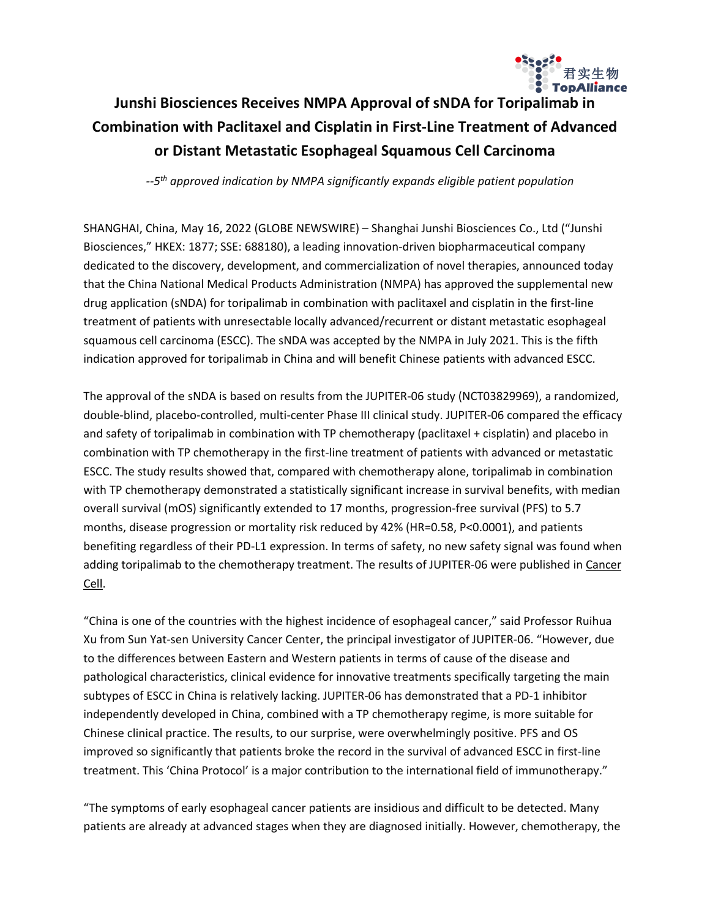

# **Junshi Biosciences Receives NMPA Approval of sNDA for Toripalimab in Combination with Paclitaxel and Cisplatin in First-Line Treatment of Advanced or Distant Metastatic Esophageal Squamous Cell Carcinoma**

*--5 th approved indication by NMPA significantly expands eligible patient population*

SHANGHAI, China, May 16, 2022 (GLOBE NEWSWIRE) – Shanghai Junshi Biosciences Co., Ltd ("Junshi Biosciences," HKEX: 1877; SSE: 688180), a leading innovation-driven biopharmaceutical company dedicated to the discovery, development, and commercialization of novel therapies, announced today that the China National Medical Products Administration (NMPA) has approved the supplemental new drug application (sNDA) for toripalimab in combination with paclitaxel and cisplatin in the first-line treatment of patients with unresectable locally advanced/recurrent or distant metastatic esophageal squamous cell carcinoma (ESCC). The sNDA was accepted by the NMPA in July 2021. This is the fifth indication approved for toripalimab in China and will benefit Chinese patients with advanced ESCC.

The approval of the sNDA is based on results from the JUPITER-06 study (NCT03829969), a randomized, double-blind, placebo-controlled, multi-center Phase III clinical study. JUPITER-06 compared the efficacy and safety of toripalimab in combination with TP chemotherapy (paclitaxel + cisplatin) and placebo in combination with TP chemotherapy in the first-line treatment of patients with advanced or metastatic ESCC. The study results showed that, compared with chemotherapy alone, toripalimab in combination with TP chemotherapy demonstrated a statistically significant increase in survival benefits, with median overall survival (mOS) significantly extended to 17 months, progression-free survival (PFS) to 5.7 months, disease progression or mortality risk reduced by 42% (HR=0.58, P<0.0001), and patients benefiting regardless of their PD-L1 expression. In terms of safety, no new safety signal was found when adding toripalimab to the chemotherapy treatment. The results of JUPITER-06 were published in [Cancer](https://www.sciencedirect.com/science/article/abs/pii/S1535610822000599) [Cell.](https://www.sciencedirect.com/science/article/abs/pii/S1535610822000599)

"China is one of the countries with the highest incidence of esophageal cancer," said Professor Ruihua Xu from Sun Yat-sen University Cancer Center, the principal investigator of JUPITER-06. "However, due to the differences between Eastern and Western patients in terms of cause of the disease and pathological characteristics, clinical evidence for innovative treatments specifically targeting the main subtypes of ESCC in China is relatively lacking. JUPITER-06 has demonstrated that a PD-1 inhibitor independently developed in China, combined with a TP chemotherapy regime, is more suitable for Chinese clinical practice. The results, to our surprise, were overwhelmingly positive. PFS and OS improved so significantly that patients broke the record in the survival of advanced ESCC in first-line treatment. This 'China Protocol' is a major contribution to the international field of immunotherapy."

"The symptoms of early esophageal cancer patients are insidious and difficult to be detected. Many patients are already at advanced stages when they are diagnosed initially. However, chemotherapy, the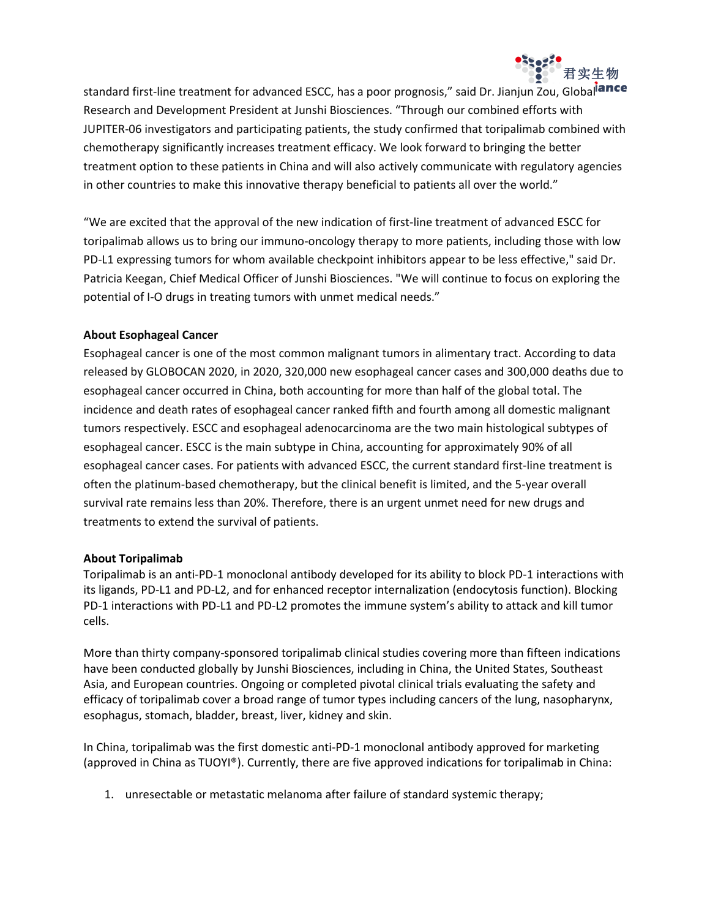

standard first-line treatment for advanced ESCC, has a poor prognosis," said Dr. Jianjun Zou, Global<sup>iance</sup> Research and Development President at Junshi Biosciences. "Through our combined efforts with JUPITER-06 investigators and participating patients, the study confirmed that toripalimab combined with chemotherapy significantly increases treatment efficacy. We look forward to bringing the better treatment option to these patients in China and will also actively communicate with regulatory agencies in other countries to make this innovative therapy beneficial to patients all over the world."

"We are excited that the approval of the new indication of first-line treatment of advanced ESCC for toripalimab allows us to bring our immuno-oncology therapy to more patients, including those with low PD-L1 expressing tumors for whom available checkpoint inhibitors appear to be less effective," said Dr. Patricia Keegan, Chief Medical Officer of Junshi Biosciences. "We will continue to focus on exploring the potential of I-O drugs in treating tumors with unmet medical needs."

## **About Esophageal Cancer**

Esophageal cancer is one of the most common malignant tumors in alimentary tract. According to data released by GLOBOCAN 2020, in 2020, 320,000 new esophageal cancer cases and 300,000 deaths due to esophageal cancer occurred in China, both accounting for more than half of the global total. The incidence and death rates of esophageal cancer ranked fifth and fourth among all domestic malignant tumors respectively. ESCC and esophageal adenocarcinoma are the two main histological subtypes of esophageal cancer. ESCC is the main subtype in China, accounting for approximately 90% of all esophageal cancer cases. For patients with advanced ESCC, the current standard first-line treatment is often the platinum-based chemotherapy, but the clinical benefit is limited, and the 5-year overall survival rate remains less than 20%. Therefore, there is an urgent unmet need for new drugs and treatments to extend the survival of patients.

#### **About Toripalimab**

Toripalimab is an anti-PD-1 monoclonal antibody developed for its ability to block PD-1 interactions with its ligands, PD-L1 and PD-L2, and for enhanced receptor internalization (endocytosis function). Blocking PD-1 interactions with PD-L1 and PD-L2 promotes the immune system's ability to attack and kill tumor cells.

More than thirty company-sponsored toripalimab clinical studies covering more than fifteen indications have been conducted globally by Junshi Biosciences, including in China, the United States, Southeast Asia, and European countries. Ongoing or completed pivotal clinical trials evaluating the safety and efficacy of toripalimab cover a broad range of tumor types including cancers of the lung, nasopharynx, esophagus, stomach, bladder, breast, liver, kidney and skin.

In China, toripalimab was the first domestic anti-PD-1 monoclonal antibody approved for marketing (approved in China as TUOYI®). Currently, there are five approved indications for toripalimab in China:

1. unresectable or metastatic melanoma after failure of standard systemic therapy;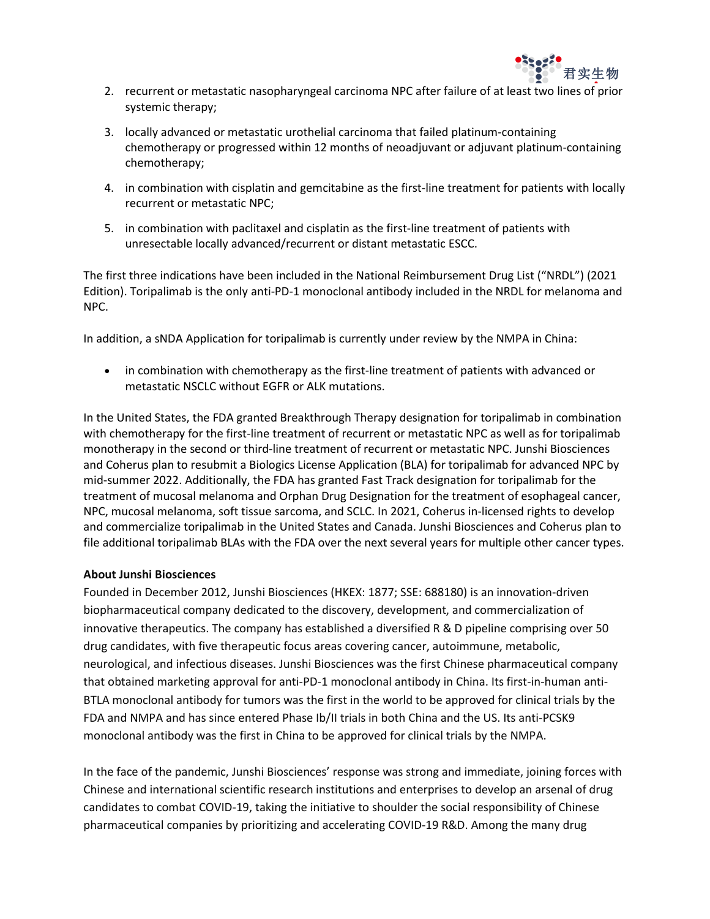

- 2. recurrent or metastatic nasopharyngeal carcinoma NPC after failure of at least two lines of prior systemic therapy;
- 3. locally advanced or metastatic urothelial carcinoma that failed platinum-containing chemotherapy or progressed within 12 months of neoadjuvant or adjuvant platinum-containing chemotherapy;
- 4. in combination with cisplatin and gemcitabine as the first-line treatment for patients with locally recurrent or metastatic NPC;
- 5. in combination with paclitaxel and cisplatin as the first-line treatment of patients with unresectable locally advanced/recurrent or distant metastatic ESCC.

The first three indications have been included in the National Reimbursement Drug List ("NRDL") (2021 Edition). Toripalimab is the only anti-PD-1 monoclonal antibody included in the NRDL for melanoma and NPC.

In addition, a sNDA Application for toripalimab is currently under review by the NMPA in China:

• in combination with chemotherapy as the first-line treatment of patients with advanced or metastatic NSCLC without EGFR or ALK mutations.

In the United States, the FDA granted Breakthrough Therapy designation for toripalimab in combination with chemotherapy for the first-line treatment of recurrent or metastatic NPC as well as for toripalimab monotherapy in the second or third-line treatment of recurrent or metastatic NPC. Junshi Biosciences and Coherus plan to resubmit a Biologics License Application (BLA) for toripalimab for advanced NPC by mid-summer 2022. Additionally, the FDA has granted Fast Track designation for toripalimab for the treatment of mucosal melanoma and Orphan Drug Designation for the treatment of esophageal cancer, NPC, mucosal melanoma, soft tissue sarcoma, and SCLC. In 2021, Coherus in-licensed rights to develop and commercialize toripalimab in the United States and Canada. Junshi Biosciences and Coherus plan to file additional toripalimab BLAs with the FDA over the next several years for multiple other cancer types.

## **About Junshi Biosciences**

Founded in December 2012, Junshi Biosciences (HKEX: 1877; SSE: 688180) is an innovation-driven biopharmaceutical company dedicated to the discovery, development, and commercialization of innovative therapeutics. The company has established a diversified R & D pipeline comprising over 50 drug candidates, with five therapeutic focus areas covering cancer, autoimmune, metabolic, neurological, and infectious diseases. Junshi Biosciences was the first Chinese pharmaceutical company that obtained marketing approval for anti-PD-1 monoclonal antibody in China. Its first-in-human anti-BTLA monoclonal antibody for tumors was the first in the world to be approved for clinical trials by the FDA and NMPA and has since entered Phase Ib/II trials in both China and the US. Its anti-PCSK9 monoclonal antibody was the first in China to be approved for clinical trials by the NMPA.

In the face of the pandemic, Junshi Biosciences' response was strong and immediate, joining forces with Chinese and international scientific research institutions and enterprises to develop an arsenal of drug candidates to combat COVID-19, taking the initiative to shoulder the social responsibility of Chinese pharmaceutical companies by prioritizing and accelerating COVID-19 R&D. Among the many drug